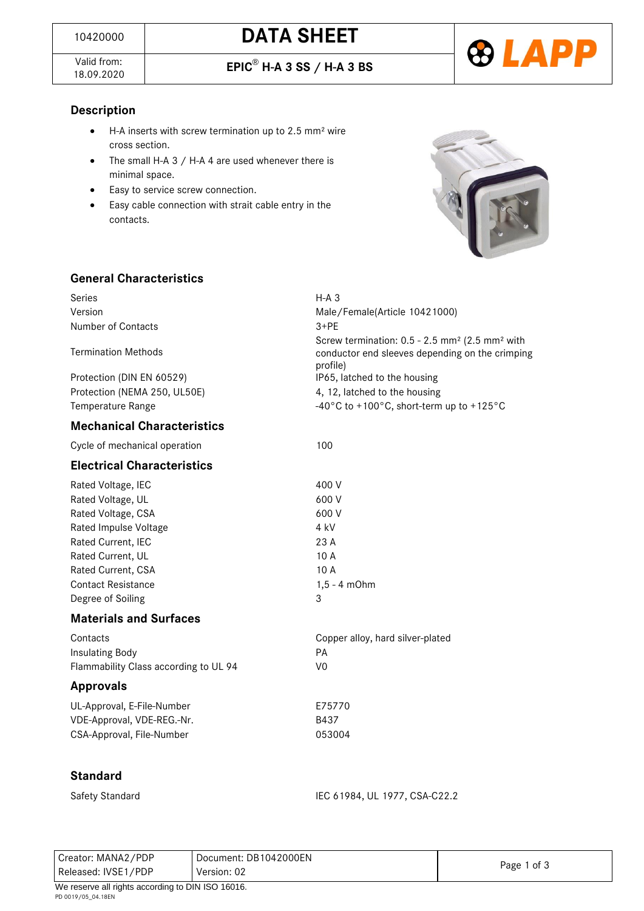Valid from:<br>18.09.2020

18.09.2020 **EPIC**® **H-A 3 SS / H-A 3 BS**



## **Description**

- H-A inserts with screw termination up to 2.5 mm² wire cross section.
- The small H-A 3 / H-A 4 are used whenever there is minimal space.
- Easy to service screw connection.
- Easy cable connection with strait cable entry in the contacts.



## **General Characteristics**

| Series<br>Version<br>Number of Contacts<br><b>Termination Methods</b><br>Protection (DIN EN 60529)<br>Protection (NEMA 250, UL50E)<br>Temperature Range                                                                                                                                                            | $H-A$ 3<br>Male/Female(Article 10421000)<br>$3+PF$<br>Screw termination: $0.5 - 2.5$ mm <sup>2</sup> (2.5 mm <sup>2</sup> with<br>conductor end sleeves depending on the crimping<br>profile)<br>IP65, latched to the housing<br>4, 12, latched to the housing<br>-40°C to +100°C, short-term up to +125°C |
|--------------------------------------------------------------------------------------------------------------------------------------------------------------------------------------------------------------------------------------------------------------------------------------------------------------------|------------------------------------------------------------------------------------------------------------------------------------------------------------------------------------------------------------------------------------------------------------------------------------------------------------|
| <b>Mechanical Characteristics</b>                                                                                                                                                                                                                                                                                  |                                                                                                                                                                                                                                                                                                            |
| Cycle of mechanical operation                                                                                                                                                                                                                                                                                      | 100                                                                                                                                                                                                                                                                                                        |
| <b>Electrical Characteristics</b>                                                                                                                                                                                                                                                                                  |                                                                                                                                                                                                                                                                                                            |
| Rated Voltage, IEC<br>Rated Voltage, UL<br>Rated Voltage, CSA<br>Rated Impulse Voltage<br>Rated Current, IEC<br>Rated Current, UL<br>Rated Current, CSA<br><b>Contact Resistance</b><br>Degree of Soiling<br><b>Materials and Surfaces</b><br>Contacts<br>Insulating Body<br>Flammability Class according to UL 94 | 400 V<br>600 V<br>600 V<br>4 kV<br>23 A<br>10 A<br>10 A<br>$1, 5 - 4$ m $Ohm$<br>3<br>Copper alloy, hard silver-plated<br>PA<br>V <sub>0</sub>                                                                                                                                                             |
| <b>Approvals</b>                                                                                                                                                                                                                                                                                                   |                                                                                                                                                                                                                                                                                                            |
| UL-Approval, E-File-Number<br>VDE-Approval, VDE-REG.-Nr.<br>CSA-Approval, File-Number                                                                                                                                                                                                                              | E75770<br>B437<br>053004                                                                                                                                                                                                                                                                                   |
| <b>Standard</b>                                                                                                                                                                                                                                                                                                    |                                                                                                                                                                                                                                                                                                            |
| Safety Standard                                                                                                                                                                                                                                                                                                    | IEC 61984, UL 1977, CSA-C22.2                                                                                                                                                                                                                                                                              |

| Creator: MANA2/PDP                                | Document: DB1042000EN | Page 1 of 3 |  |  |  |
|---------------------------------------------------|-----------------------|-------------|--|--|--|
| Released: IVSE1/PDP                               | Version: 02           |             |  |  |  |
| We reserve all rights according to DIN ISO 16016. |                       |             |  |  |  |
| PD 0019/05 04.18EN                                |                       |             |  |  |  |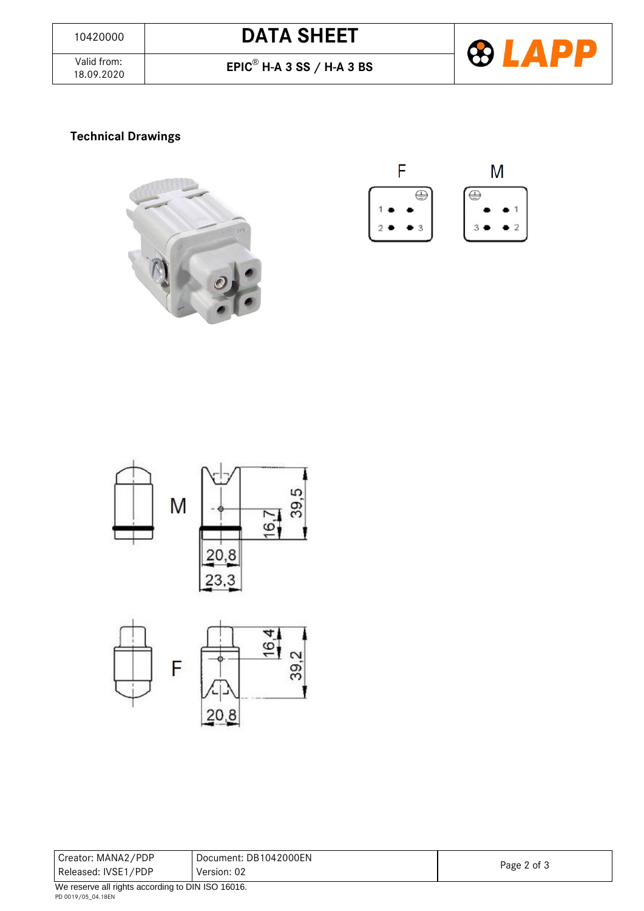Valid from:<br>18.09.2020

18.09.2020 **EPIC**® **H-A 3 SS / H-A 3 BS**



# **Technical Drawings**









| Creator: MANA2/PDP  | Document: DB1042000EN | Page 2 of 3 |
|---------------------|-----------------------|-------------|
| Released: IVSE1/PDP | Version: 02           |             |